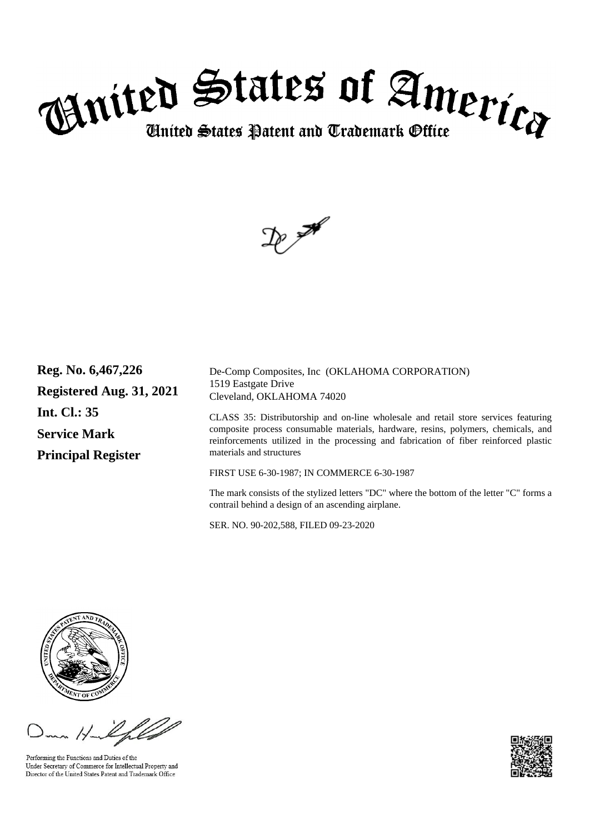



**Reg. No. 6,467,226 Registered Aug. 31, 2021 Int. Cl.: 35 Service Mark Principal Register**

De-Comp Composites, Inc (OKLAHOMA CORPORATION) 1519 Eastgate Drive Cleveland, OKLAHOMA 74020

CLASS 35: Distributorship and on-line wholesale and retail store services featuring composite process consumable materials, hardware, resins, polymers, chemicals, and reinforcements utilized in the processing and fabrication of fiber reinforced plastic materials and structures

FIRST USE 6-30-1987; IN COMMERCE 6-30-1987

The mark consists of the stylized letters "DC" where the bottom of the letter "C" forms a contrail behind a design of an ascending airplane.

SER. NO. 90-202,588, FILED 09-23-2020



Performing the Functions and Duties of the Under Secretary of Commerce for Intellectual Property and Director of the United States Patent and Trademark Office